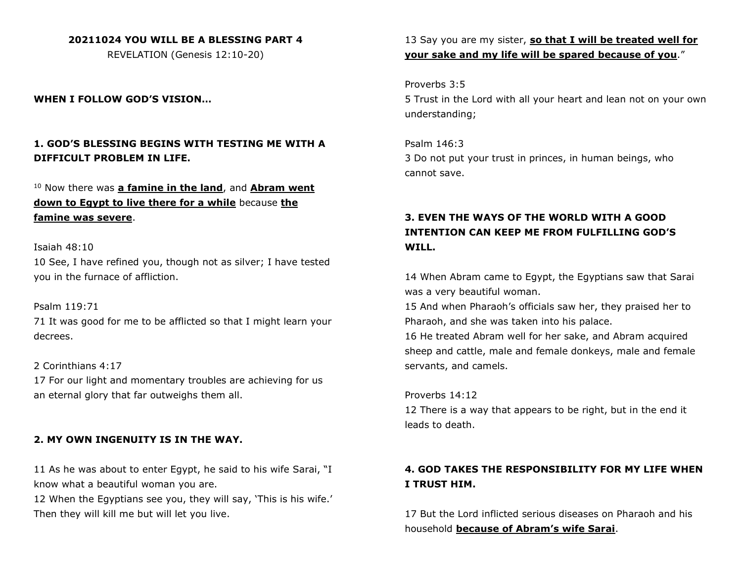### **20211024 YOU WILL BE A BLESSING PART 4**

REVELATION (Genesis 12:10-20)

### **WHEN I FOLLOW GOD'S VISION…**

## **1. GOD'S BLESSING BEGINS WITH TESTING ME WITH A DIFFICULT PROBLEM IN LIFE.**

# <sup>10</sup> Now there was **a famine in the land**, and **Abram went down to Egypt to live there for a while** because **the famine was severe**.

#### Isaiah 48:10

10 See, I have refined you, though not as silver; I have tested you in the furnace of affliction.

#### Psalm 119:71

71 It was good for me to be afflicted so that I might learn your decrees.

#### 2 Corinthians 4:17

17 For our light and momentary troubles are achieving for us an eternal glory that far outweighs them all.

#### **2. MY OWN INGENUITY IS IN THE WAY.**

11 As he was about to enter Egypt, he said to his wife Sarai, "I know what a beautiful woman you are.

12 When the Egyptians see you, they will say, 'This is his wife.' Then they will kill me but will let you live.

13 Say you are my sister, **so that I will be treated well for your sake and my life will be spared because of you**."

#### Proverbs 3:5

5 Trust in the Lord with all your heart and lean not on your own understanding;

Psalm 146:3 3 Do not put your trust in princes, in human beings, who cannot save.

# **3. EVEN THE WAYS OF THE WORLD WITH A GOOD INTENTION CAN KEEP ME FROM FULFILLING GOD'S WILL.**

14 When Abram came to Egypt, the Egyptians saw that Sarai was a very beautiful woman.

15 And when Pharaoh's officials saw her, they praised her to Pharaoh, and she was taken into his palace.

16 He treated Abram well for her sake, and Abram acquired sheep and cattle, male and female donkeys, male and female servants, and camels.

#### Proverbs 14:12

12 There is a way that appears to be right, but in the end it leads to death.

## **4. GOD TAKES THE RESPONSIBILITY FOR MY LIFE WHEN I TRUST HIM.**

17 But the Lord inflicted serious diseases on Pharaoh and his household **because of Abram's wife Sarai**.